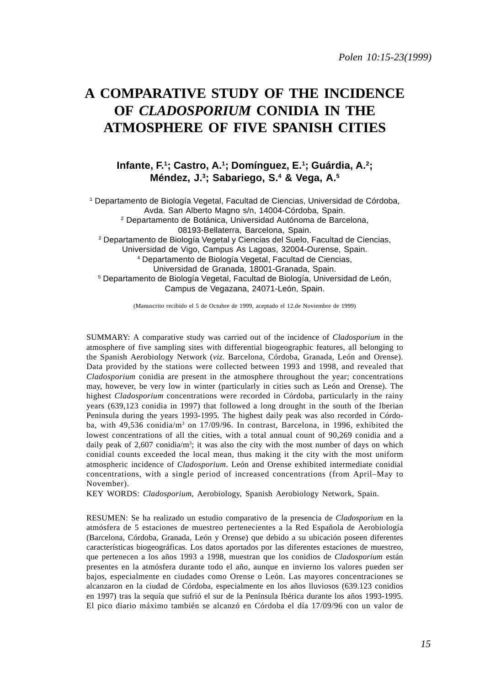# **A COMPARATIVE STUDY OF THE INCIDENCE OF** *CLADOSPORIUM* **CONIDIA IN THE ATMOSPHERE OF FIVE SPANISH CITIES**

**Infante, F.1; Castro, A.1; Domínguez, E.1 ; Guárdia, A.2; Méndez, J.3; Sabariego, S.4 & Vega, A.5**

1 Departamento de Biología Vegetal, Facultad de Ciencias, Universidad de Córdoba, Avda. San Alberto Magno s/n, 14004-Córdoba, Spain. 2 Departamento de Botánica, Universidad Autónoma de Barcelona, 08193-Bellaterra, Barcelona, Spain. 3 Departamento de Biología Vegetal y Ciencias del Suelo, Facultad de Ciencias, Universidad de Vigo, Campus As Lagoas, 32004-Ourense, Spain. 4 Departamento de Biología Vegetal, Facultad de Ciencias, Universidad de Granada, 18001-Granada, Spain. 5 Departamento de Biología Vegetal, Facultad de Biología, Universidad de León, Campus de Vegazana, 24071-León, Spain.

(Manuscrito recibido el 5 de Octubre de 1999, aceptado el 12.de Noviembre de 1999)

SUMMARY: A comparative study was carried out of the incidence of *Cladosporium* in the atmosphere of five sampling sites with differential biogeographic features, all belonging to the Spanish Aerobiology Network (*viz.* Barcelona, Córdoba, Granada, León and Orense). Data provided by the stations were collected between 1993 and 1998, and revealed that *Cladosporium* conidia are present in the atmosphere throughout the year; concentrations may, however, be very low in winter (particularly in cities such as León and Orense). The highest *Cladosporium* concentrations were recorded in Córdoba, particularly in the rainy years (639,123 conidia in 1997) that followed a long drought in the south of the Iberian Peninsula during the years 1993-1995. The highest daily peak was also recorded in Córdoba, with 49,536 conidia/m<sup>3</sup> on 17/09/96. In contrast, Barcelona, in 1996, exhibited the lowest concentrations of all the cities, with a total annual count of 90,269 conidia and a daily peak of  $2,607$  conidia/m<sup>3</sup>; it was also the city with the most number of days on which conidial counts exceeded the local mean, thus making it the city with the most uniform atmospheric incidence of *Cladosporium*. León and Orense exhibited intermediate conidial concentrations, with a single period of increased concentrations (from April–May to November).

KEY WORDS: *Cladosporium*, Aerobiology, Spanish Aerobiology Network, Spain.

RESUMEN: Se ha realizado un estudio comparativo de la presencia de *Cladosporium* en la atmósfera de 5 estaciones de muestreo pertenecientes a la Red Española de Aerobiología (Barcelona, Córdoba, Granada, León y Orense) que debido a su ubicación poseen diferentes características biogeográficas. Los datos aportados por las diferentes estaciones de muestreo, que pertenecen a los años 1993 a 1998, muestran que los conidios de *Cladosporium* están presentes en la atmósfera durante todo el año, aunque en invierno los valores pueden ser bajos, especialmente en ciudades como Orense o León. Las mayores concentraciones se alcanzaron en la ciudad de Córdoba, especialmente en los años lluviosos (639.123 conidios en 1997) tras la sequía que sufrió el sur de la Península Ibérica durante los años 1993-1995. El pico diario máximo también se alcanzó en Córdoba el día 17/09/96 con un valor de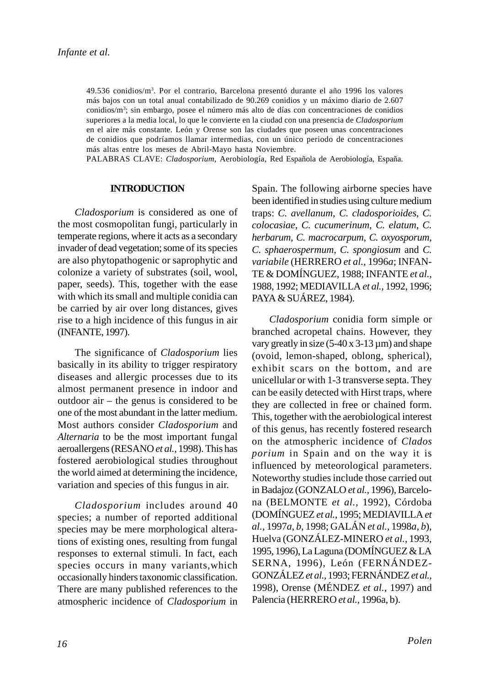49.536 conidios/m3 . Por el contrario, Barcelona presentó durante el año 1996 los valores más bajos con un total anual contabilizado de 90.269 conidios y un máximo diario de 2.607 conidios/m<sup>3</sup>; sin embargo, posee el número más alto de días con concentraciones de conidios superiores a la media local, lo que le convierte en la ciudad con una presencia de *Cladosporium* en el aire más constante. León y Orense son las ciudades que poseen unas concentraciones de conidios que podríamos llamar intermedias, con un único periodo de concentraciones más altas entre los meses de Abril-Mayo hasta Noviembre.

PALABRAS CLAVE: *Cladosporium*, Aerobiología, Red Española de Aerobiología, España.

### **INTRODUCTION**

*Cladosporium* is considered as one of the most cosmopolitan fungi, particularly in temperate regions, where it acts as a secondary invader of dead vegetation; some of its species are also phytopathogenic or saprophytic and colonize a variety of substrates (soil, wool, paper, seeds). This, together with the ease with which its small and multiple conidia can be carried by air over long distances, gives rise to a high incidence of this fungus in air (INFANTE, 1997).

The significance of *Cladosporium* lies basically in its ability to trigger respiratory diseases and allergic processes due to its almost permanent presence in indoor and outdoor air – the genus is considered to be one of the most abundant in the latter medium. Most authors consider *Cladosporium* and *Alternaria* to be the most important fungal aeroallergens (RESANO *et al.,* 1998). This has fostered aerobiological studies throughout the world aimed at determining the incidence, variation and species of this fungus in air.

*Cladosporium* includes around 40 species; a number of reported additional species may be mere morphological alterations of existing ones, resulting from fungal responses to external stimuli. In fact, each species occurs in many variants,which occasionally hinders taxonomic classification. There are many published references to the atmospheric incidence of *Cladosporium* in

Spain. The following airborne species have been identified in studies using culture medium traps: *C. avellanum*, *C. cladosporioides*, *C. colocasiae*, *C. cucumerinum*, *C. elatum*, *C. herbarum*, *C. macrocarpum*, *C. oxyosporum*, *C. sphaerospermum*, *C. spongiosum* and *C. variabile* (HERRERO *et al.,* 1996*a*; INFAN-TE & DOMÍNGUEZ, 1988; INFANTE *et al.,* 1988, 1992; MEDIAVILLA *et al.,* 1992, 1996; PAYA & SUÁREZ, 1984).

*Cladosporium* conidia form simple or branched acropetal chains. However, they vary greatly in size  $(5-40 \times 3-13 \text{ µm})$  and shape (ovoid, lemon-shaped, oblong, spherical), exhibit scars on the bottom, and are unicellular or with 1-3 transverse septa. They can be easily detected with Hirst traps, where they are collected in free or chained form. This, together with the aerobiological interest of this genus, has recently fostered research on the atmospheric incidence of *Clados porium* in Spain and on the way it is influenced by meteorological parameters. Noteworthy studies include those carried out in Badajoz (GONZALO *et al.,* 1996), Barcelona (BELMONTE *et al.,* 1992), Córdoba (DOMÍNGUEZ *et al.,* 1995; MEDIAVILLA *et al.,* 1997*a*, *b*, 1998; GALÁN *et al.,* 1998*a*, *b*), Huelva (GONZÁLEZ-MINERO *et al.,* 1993, 1995, 1996), La Laguna (DOMÍNGUEZ & LA SERNA, 1996), León (FERNÁNDEZ-GONZÁLEZ *et al.,* 1993; FERNÁNDEZ *et al.,* 1998), Orense (MÉNDEZ *et al.,* 1997) and Palencia (HERRERO *et al.,* 1996a, b).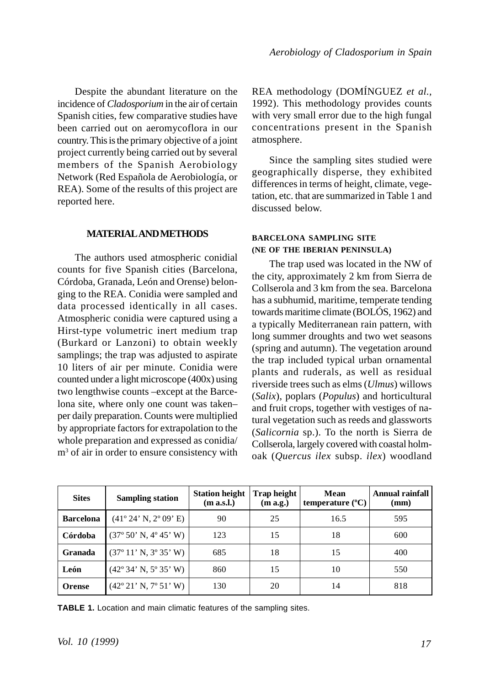Despite the abundant literature on the incidence of *Cladosporium* in the air of certain Spanish cities, few comparative studies have been carried out on aeromycoflora in our country. This is the primary objective of a joint project currently being carried out by several members of the Spanish Aerobiology Network (Red Española de Aerobiología, or REA). Some of the results of this project are reported here.

# **MATERIAL AND METHODS**

The authors used atmospheric conidial counts for five Spanish cities (Barcelona, Córdoba, Granada, León and Orense) belonging to the REA. Conidia were sampled and data processed identically in all cases. Atmospheric conidia were captured using a Hirst-type volumetric inert medium trap (Burkard or Lanzoni) to obtain weekly samplings; the trap was adjusted to aspirate 10 liters of air per minute. Conidia were counted under a light microscope (400x) using two lengthwise counts –except at the Barcelona site, where only one count was taken– per daily preparation. Counts were multiplied by appropriate factors for extrapolation to the whole preparation and expressed as conidia/ m<sup>3</sup> of air in order to ensure consistency with

REA methodology (DOMÍNGUEZ *et al.,* 1992). This methodology provides counts with very small error due to the high fungal concentrations present in the Spanish atmosphere.

Since the sampling sites studied were geographically disperse, they exhibited differences in terms of height, climate, vegetation, etc. that are summarized in Table 1 and discussed below.

# **BARCELONA SAMPLING SITE (NE OF THE IBERIAN PENINSULA)**

The trap used was located in the NW of the city, approximately 2 km from Sierra de Collserola and 3 km from the sea. Barcelona has a subhumid, maritime, temperate tending towards maritime climate (BOLÓS, 1962) and a typically Mediterranean rain pattern, with long summer droughts and two wet seasons (spring and autumn). The vegetation around the trap included typical urban ornamental plants and ruderals, as well as residual riverside trees such as elms (*Ulmus*) willows (*Salix*), poplars (*Populus*) and horticultural and fruit crops, together with vestiges of natural vegetation such as reeds and glassworts (*Salicornia* sp.). To the north is Sierra de Collserola, largely covered with coastal holmoak (*Quercus ilex* subsp. *ilex*) woodland

| <b>Sites</b>     | <b>Sampling station</b>                             | <b>Station height</b><br>(m a.s.l.) | <b>Trap height</b><br>(m a.g.) | Mean<br>temperature $(^{\circ}C)$ | <b>Annual rainfall</b><br>(mm) |
|------------------|-----------------------------------------------------|-------------------------------------|--------------------------------|-----------------------------------|--------------------------------|
| <b>Barcelona</b> | $(41^{\circ} 24' N, 2^{\circ} 09' E)$               | 90                                  | 25                             | 16.5                              | 595                            |
| Córdoba          | $(37^{\circ} 50' N, 4^{\circ} 45' W)$               | 123                                 | 15                             | 18                                | 600                            |
| Granada          | $(37^{\circ} 11' N, 3^{\circ} 35' W)$               | 685                                 | 18                             | 15                                | 400                            |
| León             | $(42^{\circ}34' \text{ N}, 5^{\circ}35' \text{ W})$ | 860                                 | 15                             | 10                                | 550                            |
| <b>Orense</b>    | $(42^{\circ} 21' N, 7^{\circ} 51' W)$               | 130                                 | 20                             | 14                                | 818                            |

**TABLE 1.** Location and main climatic features of the sampling sites.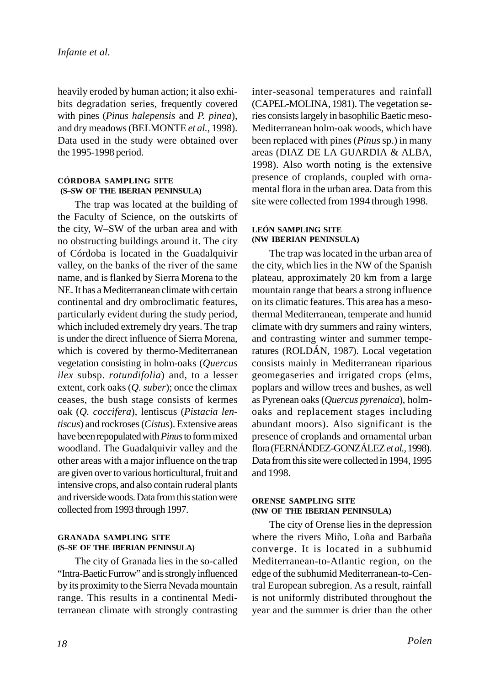heavily eroded by human action; it also exhibits degradation series, frequently covered with pines (*Pinus halepensis* and *P. pinea*), and dry meadows (BELMONTE *et al.,* 1998). Data used in the study were obtained over the 1995-1998 period.

### **CÓRDOBA SAMPLING SITE (S–SW OF THE IBERIAN PENINSULA)**

The trap was located at the building of the Faculty of Science, on the outskirts of the city, W–SW of the urban area and with no obstructing buildings around it. The city of Córdoba is located in the Guadalquivir valley, on the banks of the river of the same name, and is flanked by Sierra Morena to the NE. It has a Mediterranean climate with certain continental and dry ombroclimatic features, particularly evident during the study period, which included extremely dry years. The trap is under the direct influence of Sierra Morena, which is covered by thermo-Mediterranean vegetation consisting in holm-oaks (*Quercus ilex* subsp. *rotundifolia*) and, to a lesser extent, cork oaks (*Q. suber*); once the climax ceases, the bush stage consists of kermes oak (*Q. coccifera*), lentiscus (*Pistacia lentiscus*) and rockroses (*Cistus*). Extensive areas have been repopulated with *Pinus* to form mixed woodland. The Guadalquivir valley and the other areas with a major influence on the trap are given over to various horticultural, fruit and intensive crops, and also contain ruderal plants and riverside woods. Data from this station were collected from 1993 through 1997.

### **GRANADA SAMPLING SITE (S–SE OF THE IBERIAN PENINSULA)**

The city of Granada lies in the so-called "Intra-Baetic Furrow" and is strongly influenced by its proximity to the Sierra Nevada mountain range. This results in a continental Mediterranean climate with strongly contrasting inter-seasonal temperatures and rainfall (CAPEL-MOLINA, 1981). The vegetation series consists largely in basophilic Baetic meso-Mediterranean holm-oak woods, which have been replaced with pines (*Pinus* sp.) in many areas (DIAZ DE LA GUARDIA & ALBA, 1998). Also worth noting is the extensive presence of croplands, coupled with ornamental flora in the urban area. Data from this site were collected from 1994 through 1998.

# **LEÓN SAMPLING SITE (NW IBERIAN PENINSULA)**

The trap was located in the urban area of the city, which lies in the NW of the Spanish plateau, approximately 20 km from a large mountain range that bears a strong influence on its climatic features. This area has a mesothermal Mediterranean, temperate and humid climate with dry summers and rainy winters, and contrasting winter and summer temperatures (ROLDÁN, 1987). Local vegetation consists mainly in Mediterranean riparious geomegaseries and irrigated crops (elms, poplars and willow trees and bushes, as well as Pyrenean oaks (*Quercus pyrenaica*), holmoaks and replacement stages including abundant moors). Also significant is the presence of croplands and ornamental urban flora (FERNÁNDEZ-GONZÁLEZ *et al.,* 1998). Data from this site were collected in 1994, 1995 and 1998.

### **ORENSE SAMPLING SITE (NW OF THE IBERIAN PENINSULA)**

The city of Orense lies in the depression where the rivers Miño, Loña and Barbaña converge. It is located in a subhumid Mediterranean-to-Atlantic region, on the edge of the subhumid Mediterranean-to-Central European subregion. As a result, rainfall is not uniformly distributed throughout the year and the summer is drier than the other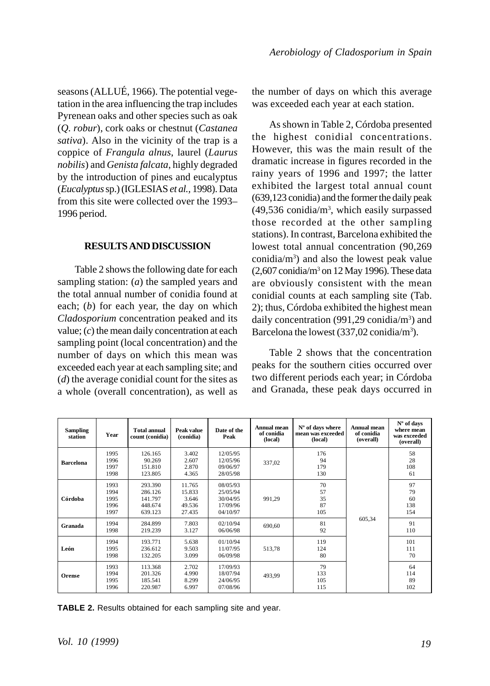seasons (ALLUÉ, 1966). The potential vegetation in the area influencing the trap includes Pyrenean oaks and other species such as oak (*Q. robur*), cork oaks or chestnut (*Castanea sativa*). Also in the vicinity of the trap is a coppice of *Frangula alnus*, laurel (*Laurus nobilis*) and *Genista falcata*, highly degraded by the introduction of pines and eucalyptus (*Eucalyptus* sp.) (IGLESIAS *et al.,* 1998). Data from this site were collected over the 1993– 1996 period.

### **RESULTS AND DISCUSSION**

Table 2 shows the following date for each sampling station: (*a*) the sampled years and the total annual number of conidia found at each; (*b*) for each year, the day on which *Cladosporium* concentration peaked and its value; (*c*) the mean daily concentration at each sampling point (local concentration) and the number of days on which this mean was exceeded each year at each sampling site; and (*d*) the average conidial count for the sites as a whole (overall concentration), as well as the number of days on which this average was exceeded each year at each station.

As shown in Table 2, Córdoba presented the highest conidial concentrations. However, this was the main result of the dramatic increase in figures recorded in the rainy years of 1996 and 1997; the latter exhibited the largest total annual count (639,123 conidia) and the former the daily peak  $(49,536 \text{ conidia/m}^3, \text{ which easily surpassed}$ those recorded at the other sampling stations). In contrast, Barcelona exhibited the lowest total annual concentration (90,269 conidia/ $m<sup>3</sup>$ ) and also the lowest peak value  $(2,607 \text{ conidia/m}^3 \text{ on } 12 \text{ May } 1996)$ . These data are obviously consistent with the mean conidial counts at each sampling site (Tab. 2); thus, Córdoba exhibited the highest mean daily concentration (991,29 conidia/m<sup>3</sup>) and Barcelona the lowest (337,02 conidia/m<sup>3</sup>).

Table 2 shows that the concentration peaks for the southern cities occurred over two different periods each year; in Córdoba and Granada, these peak days occurred in

| <b>Sampling</b><br>station | Year                                 | <b>Total annual</b><br>count (conidia)              | Peak value<br>(conidia)                       | Date of the<br>Peak                                      | Annual mean<br>of conidia<br>(local) | $No$ of days where<br>mean was exceeded<br>(local) | Annual mean<br>of conidia<br>(overall) | N° of days<br>where mean<br>was exceeded<br>(overall) |
|----------------------------|--------------------------------------|-----------------------------------------------------|-----------------------------------------------|----------------------------------------------------------|--------------------------------------|----------------------------------------------------|----------------------------------------|-------------------------------------------------------|
| <b>Barcelona</b>           | 1995<br>1996<br>1997<br>1998         | 126.165<br>90.269<br>151.810<br>123.805             | 3.402<br>2.607<br>2.870<br>4.365              | 12/05/95<br>12/05/96<br>09/06/97<br>28/05/98             | 337.02                               | 176<br>94<br>179<br>130                            | 605,34                                 | 58<br>28<br>108<br>61                                 |
| Córdoba                    | 1993<br>1994<br>1995<br>1996<br>1997 | 293.390<br>286.126<br>141.797<br>448.674<br>639.123 | 11.765<br>15.833<br>3.646<br>49.536<br>27.435 | 08/05/93<br>25/05/94<br>30/04/95<br>17/09/96<br>04/10/97 | 991,29                               | 70<br>57<br>35<br>87<br>105                        |                                        | 97<br>79<br>60<br>138<br>154                          |
| Granada                    | 1994<br>1998                         | 284.899<br>219.239                                  | 7.803<br>3.127                                | 02/10/94<br>06/06/98                                     | 690.60                               | 81<br>92                                           |                                        | 91<br>110                                             |
| León                       | 1994<br>1995<br>1998                 | 193.771<br>236.612<br>132.205                       | 5.638<br>9.503<br>3.099                       | 01/10/94<br>11/07/95<br>06/09/98                         | 513,78                               | 119<br>124<br>80                                   |                                        | 101<br>111<br>70                                      |
| Orense                     | 1993<br>1994<br>1995<br>1996         | 113.368<br>201.326<br>185.541<br>220.987            | 2.702<br>4.990<br>8.299<br>6.997              | 17/09/93<br>18/07/94<br>24/06/95<br>07/08/96             | 493.99                               | 79<br>133<br>105<br>115                            |                                        | 64<br>114<br>89<br>102                                |

**TABLE 2.** Results obtained for each sampling site and year.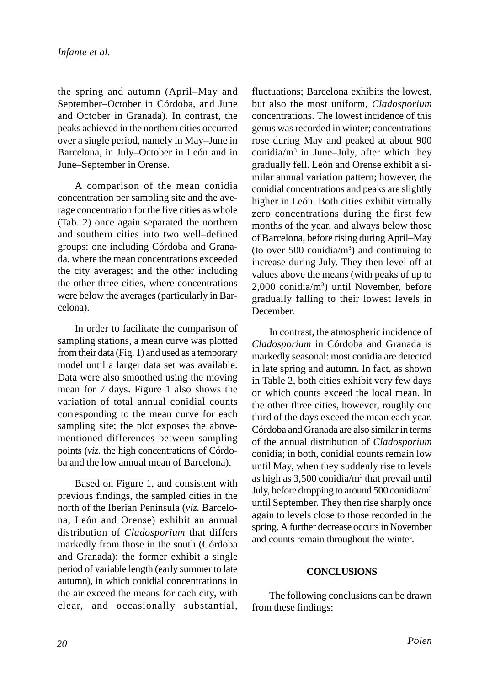the spring and autumn (April–May and September–October in Córdoba, and June and October in Granada). In contrast, the peaks achieved in the northern cities occurred over a single period, namely in May–June in Barcelona, in July–October in León and in June–September in Orense.

A comparison of the mean conidia concentration per sampling site and the average concentration for the five cities as whole (Tab. 2) once again separated the northern and southern cities into two well–defined groups: one including Córdoba and Granada, where the mean concentrations exceeded the city averages; and the other including the other three cities, where concentrations were below the averages (particularly in Barcelona).

In order to facilitate the comparison of sampling stations, a mean curve was plotted from their data (Fig. 1) and used as a temporary model until a larger data set was available. Data were also smoothed using the moving mean for 7 days. Figure 1 also shows the variation of total annual conidial counts corresponding to the mean curve for each sampling site; the plot exposes the abovementioned differences between sampling points (*viz.* the high concentrations of Córdoba and the low annual mean of Barcelona).

Based on Figure 1, and consistent with previous findings, the sampled cities in the north of the Iberian Peninsula (*viz.* Barcelona, León and Orense) exhibit an annual distribution of *Cladosporium* that differs markedly from those in the south (Córdoba and Granada); the former exhibit a single period of variable length (early summer to late autumn), in which conidial concentrations in the air exceed the means for each city, with clear, and occasionally substantial, fluctuations; Barcelona exhibits the lowest, but also the most uniform, *Cladosporium* concentrations. The lowest incidence of this genus was recorded in winter; concentrations rose during May and peaked at about 900 conidia/m<sup>3</sup> in June–July, after which they gradually fell. León and Orense exhibit a similar annual variation pattern; however, the conidial concentrations and peaks are slightly higher in León. Both cities exhibit virtually zero concentrations during the first few months of the year, and always below those of Barcelona, before rising during April–May (to over 500 conidia/ $m<sup>3</sup>$ ) and continuing to increase during July. They then level off at values above the means (with peaks of up to 2,000 conidia/m3 ) until November, before gradually falling to their lowest levels in December.

In contrast, the atmospheric incidence of *Cladosporium* in Córdoba and Granada is markedly seasonal: most conidia are detected in late spring and autumn. In fact, as shown in Table 2, both cities exhibit very few days on which counts exceed the local mean. In the other three cities, however, roughly one third of the days exceed the mean each year. Córdoba and Granada are also similar in terms of the annual distribution of *Cladosporium* conidia; in both, conidial counts remain low until May, when they suddenly rise to levels as high as 3,500 conidia/m<sup>3</sup> that prevail until July, before dropping to around 500 conidia/m3 until September. They then rise sharply once again to levels close to those recorded in the spring. A further decrease occurs in November and counts remain throughout the winter.

# **CONCLUSIONS**

The following conclusions can be drawn from these findings: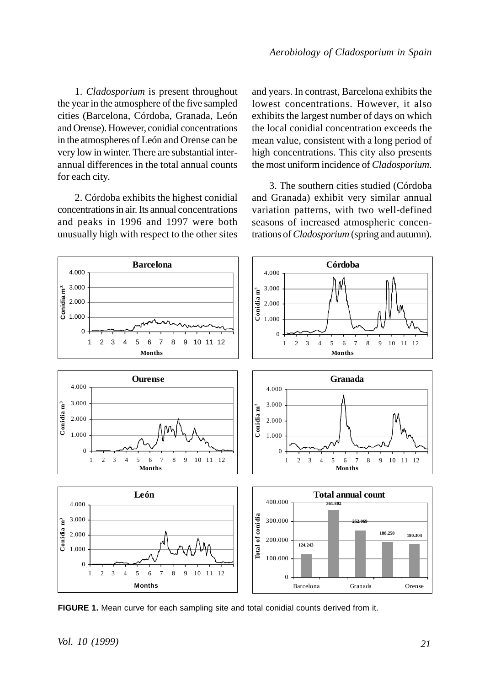1. *Cladosporium* is present throughout the year in the atmosphere of the five sampled cities (Barcelona, Córdoba, Granada, León and Orense). However, conidial concentrations in the atmospheres of León and Orense can be very low in winter. There are substantial interannual differences in the total annual counts for each city.

2. Córdoba exhibits the highest conidial concentrations in air. Its annual concentrations and peaks in 1996 and 1997 were both unusually high with respect to the other sites and years. In contrast, Barcelona exhibits the lowest concentrations. However, it also exhibits the largest number of days on which the local conidial concentration exceeds the mean value, consistent with a long period of high concentrations. This city also presents the most uniform incidence of *Cladosporium*.

3. The southern cities studied (Córdoba and Granada) exhibit very similar annual variation patterns, with two well-defined seasons of increased atmospheric concentrations of *Cladosporium* (spring and autumn).



**FIGURE 1.** Mean curve for each sampling site and total conidial counts derived from it.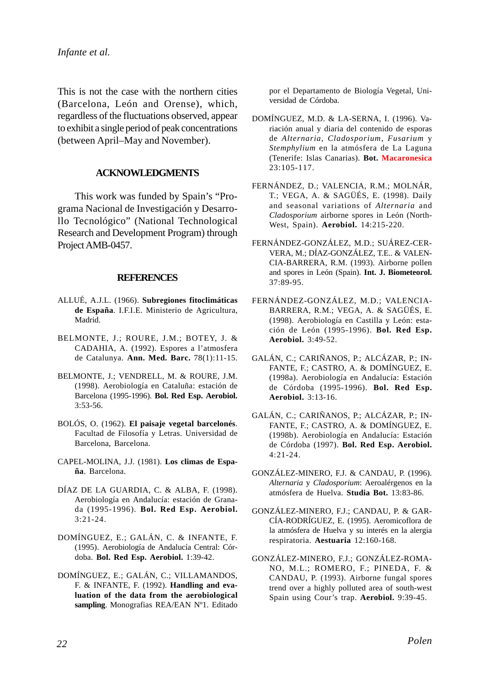This is not the case with the northern cities (Barcelona, León and Orense), which, regardless of the fluctuations observed, appear to exhibit a single period of peak concentrations (between April–May and November).

# **ACKNOWLEDGMENTS**

This work was funded by Spain's "Programa Nacional de Investigación y Desarrollo Tecnológico" (National Technological Research and Development Program) through Project AMB-0457.

# **REFERENCES**

- ALLUÉ, A.J.L. (1966). **Subregiones fitoclimáticas de España**. I.F.I.E. Ministerio de Agricultura, Madrid.
- BELMONTE, J.; ROURE, J.M.; BOTEY, J. & CADAHIA, A. (1992). Espores a l'atmosfera de Catalunya. **Ann. Med. Barc.** 78(1):11-15.
- BELMONTE, J.; VENDRELL, M. & ROURE, J.M. (1998). Aerobiología en Cataluña: estación de Barcelona (1995-1996). **Bol. Red Esp. Aerobiol.** 3:53-56.
- BOLÓS, O. (1962). **El paisaje vegetal barcelonés**. Facultad de Filosofía y Letras. Universidad de Barcelona, Barcelona.
- CAPEL-MOLINA, J.J. (1981). **Los climas de España**. Barcelona.
- DÍAZ DE LA GUARDIA, C. & ALBA, F. (1998). Aerobiología en Andalucía: estación de Granada (1995-1996). **Bol. Red Esp. Aerobiol.** 3:21-24.
- DOMÍNGUEZ, E.; GALÁN, C. & INFANTE, F. (1995). Aerobiología de Andalucía Central: Córdoba. **Bol. Red Esp. Aerobiol.** 1:39-42.
- DOMÍNGUEZ, E.; GALÁN, C.; VILLAMANDOS, F. & INFANTE, F. (1992). **Handling and evaluation of the data from the aerobiological sampling**. Monografias REA/EAN Nº1. Editado

por el Departamento de Biología Vegetal, Universidad de Córdoba.

- DOMÍNGUEZ, M.D. & LA-SERNA, I. (1996). Variación anual y diaria del contenido de esporas de *Alternaria*, *Cladosporium*, *Fusarium* y *Stemphylium* en la atmósfera de La Laguna (Tenerife: Islas Canarias). **Bot. Macaronesica** 23:105-117.
- FERNÁNDEZ, D.; VALENCIA, R.M.; MOLNÁR, T.; VEGA, A. & SAGÜÉS, E. (1998). Daily and seasonal variations of *Alternaria* and *Cladosporium* airborne spores in León (North-West, Spain). **Aerobiol.** 14:215-220.
- FERNÁNDEZ-GONZÁLEZ, M.D.; SUÁREZ-CER-VERA, M.; DÍAZ-GONZÁLEZ, T.E.. & VALEN-CIA-BARRERA, R.M. (1993). Airborne pollen and spores in León (Spain). **Int. J. Biometeorol.** 37:89-95.
- FERNÁNDEZ-GONZÁLEZ, M.D.; VALENCIA-BARRERA, R.M.; VEGA, A. & SAGÜÉS, E. (1998). Aerobiología en Castilla y León: estación de León (1995-1996). **Bol. Red Esp. Aerobiol.** 3:49-52.
- GALÁN, C.; CARIÑANOS, P.; ALCÁZAR, P.; IN-FANTE, F.; CASTRO, A. & DOMÍNGUEZ, E. (1998a). Aerobiología en Andalucía: Estación de Córdoba (1995-1996). **Bol. Red Esp. Aerobiol.** 3:13-16.
- GALÁN, C.; CARIÑANOS, P.; ALCÁZAR, P.; IN-FANTE, F.; CASTRO, A. & DOMÍNGUEZ, E. (1998b). Aerobiología en Andalucía: Estación de Córdoba (1997). **Bol. Red Esp. Aerobiol.** 4:21-24.
- GONZÁLEZ-MINERO, F.J. & CANDAU, P. (1996). *Alternaria* y *Cladosporium*: Aeroalérgenos en la atmósfera de Huelva. **Studia Bot.** 13:83-86.
- GONZÁLEZ-MINERO, F.J.; CANDAU, P. & GAR-CÍA-RODRÍGUEZ, E. (1995). Aeromicoflora de la atmósfera de Huelva y su interés en la alergia respiratoria. **Aestuaria** 12:160-168.
- GONZÁLEZ-MINERO, F.J.; GONZÁLEZ-ROMA-NO, M.L.; ROMERO, F.; PINEDA, F. & CANDAU, P. (1993). Airborne fungal spores trend over a highly polluted area of south-west Spain using Cour's trap. **Aerobiol.** 9:39-45.